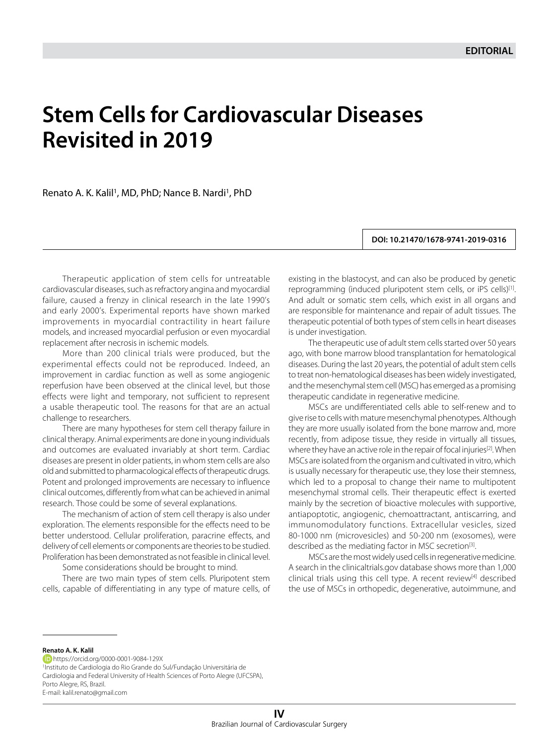## **Stem Cells for Cardiovascular Diseases Revisited in 2019**

Renato A. K. Kalil<sup>1</sup>, MD, PhD; Nance B. Nardi<sup>1</sup>, PhD

**DOI: 10.21470/1678-9741-2019-0316**

Therapeutic application of stem cells for untreatable cardiovascular diseases, such as refractory angina and myocardial failure, caused a frenzy in clinical research in the late 1990's and early 2000's. Experimental reports have shown marked improvements in myocardial contractility in heart failure models, and increased myocardial perfusion or even myocardial replacement after necrosis in ischemic models.

More than 200 clinical trials were produced, but the experimental effects could not be reproduced. Indeed, an improvement in cardiac function as well as some angiogenic reperfusion have been observed at the clinical level, but those effects were light and temporary, not sufficient to represent a usable therapeutic tool. The reasons for that are an actual challenge to researchers.

There are many hypotheses for stem cell therapy failure in clinical therapy. Animal experiments are done in young individuals and outcomes are evaluated invariably at short term. Cardiac diseases are present in older patients, in whom stem cells are also old and submitted to pharmacological effects of therapeutic drugs. Potent and prolonged improvements are necessary to influence clinical outcomes, differently from what can be achieved in animal research. Those could be some of several explanations.

The mechanism of action of stem cell therapy is also under exploration. The elements responsible for the effects need to be better understood. Cellular proliferation, paracrine effects, and delivery of cell elements or components are theories to be studied. Proliferation has been demonstrated as not feasible in clinical level.

Some considerations should be brought to mind.

There are two main types of stem cells. Pluripotent stem cells, capable of differentiating in any type of mature cells, of existing in the blastocyst, and can also be produced by genetic reprogramming (induced pluripotent stem cells, or iPS cells)<sup>[1]</sup>. And adult or somatic stem cells, which exist in all organs and are responsible for maintenance and repair of adult tissues. The therapeutic potential of both types of stem cells in heart diseases is under investigation.

The therapeutic use of adult stem cells started over 50 years ago, with bone marrow blood transplantation for hematological diseases. During the last 20 years, the potential of adult stem cells to treat non-hematological diseases has been widely investigated, and the mesenchymal stem cell (MSC) has emerged as a promising therapeutic candidate in regenerative medicine.

MSCs are undifferentiated cells able to self-renew and to give rise to cells with mature mesenchymal phenotypes. Although they are more usually isolated from the bone marrow and, more recently, from adipose tissue, they reside in virtually all tissues, where they have an active role in the repair of focal injuries<sup>[2]</sup>. When MSCs are isolated from the organism and cultivated in vitro, which is usually necessary for therapeutic use, they lose their stemness, which led to a proposal to change their name to multipotent mesenchymal stromal cells. Their therapeutic effect is exerted mainly by the secretion of bioactive molecules with supportive, antiapoptotic, angiogenic, chemoattractant, antiscarring, and immunomodulatory functions. Extracellular vesicles, sized 80-1000 nm (microvesicles) and 50-200 nm (exosomes), were described as the mediating factor in MSC secretion<sup>[3]</sup>.

MSCs are the most widely used cells in regenerative medicine. A search in the clinicaltrials.gov database shows more than 1,000 clinical trials using this cell type. A recent review[4] described the use of MSCs in orthopedic, degenerative, autoimmune, and

**Renato A. K. Kalil**

https://orcid.org/0000-0001-9084-129X 1Instituto de Cardiologia do Rio Grande do Sul/Fundação Universitária de Cardiologia and Federal University of Health Sciences of Porto Alegre (UFCSPA), Porto Alegre, RS, Brazil. E-mail: kalil.renato@gmail.com